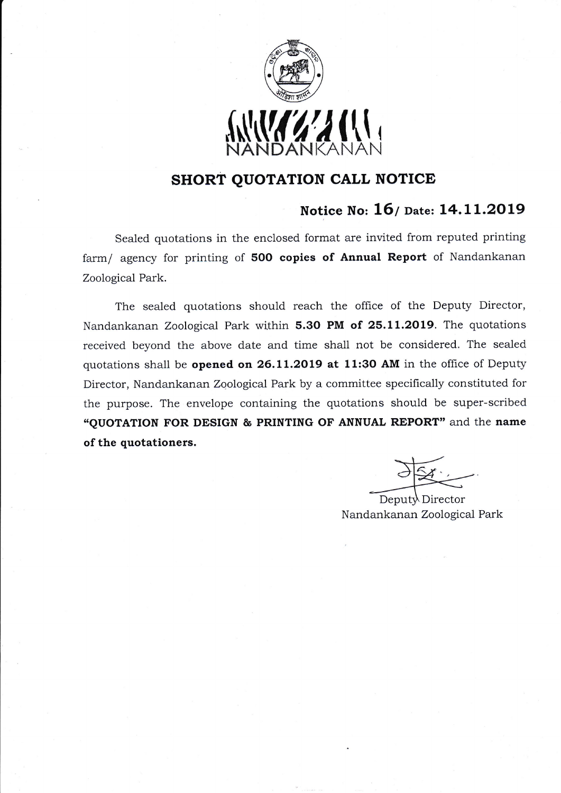

## sHoRT QUOTATION CALL NOTICE

## Notice No: 16/ Date: 14.11.2019

Sealed quotations in the enclosed format are invited from reputed printing farm/ agency for printing of 500 copies of Annual Report of Nandankanan Zoological Park.

The sealed quotations should reach the office of the Deputy Director, Nandankanan Zoological Park within 5.30 PM of 25.11.2019. The quotations received beyond the above date and time shall not be considered. The sealed quotations shall be opened on 26.11.2019 at 11:30 AM in the office of Deputy Director, Nandankanan Zoological Park by a committee specifically constituted for the purpose. The envelope containing the quotations should be super-scribed "QUOTATION FOR DESIGN & PRINTING OF ANNUAL REPORT" and the name of the quotationers.

Nandankanan Zoological Park Deputy Director